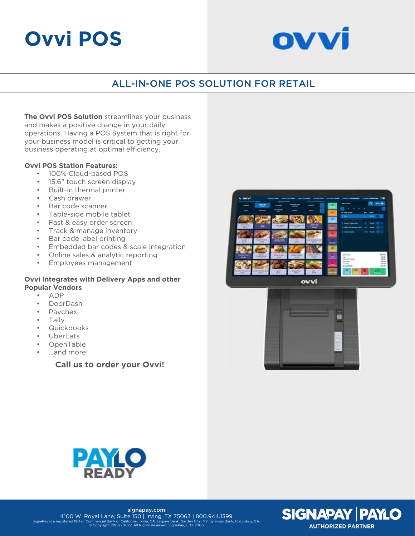# **Ovvi POS**



# ALL-IN-ONE POS SOLUTION FOR RETAIL

**The Ovvi POS Solution** streamlines your business and makes a positive change in your daily operations. Having a POS System that is right for your business model is critical to getting your business operating at optimal efficiency.

### **Ovvi POS Station Features:**

- 100% Cloud-based POS
- 15.6" touch screen display
- Built-in thermal printer
- Cash drawer
- Bar code scanner
- Table-side mobile tablet
- Fast & easy order screen
- Track & manage inventory
- Bar code label printing
- Embedded bar codes & scale integration
- Online sales & analytic reporting
- Employees management

#### **Ovvi Integrates with Delivery Apps and other Popular Vendors**

- ADP
- DoorDash
- Paychex
- Tally
- **Quickbooks**
- UberEats
- OpenTable
- ...and more!

**Call us to order your Ovvi!**









signapay.com 4100 W. Royal Lane, Suite 150 | Irving, TX 75063 | 800.944.1399<br>SignaPav is a registered ISO of Commercial Bank of California Irvine CA: Esquire Bank Garden City, NY: Synvous Bank Columbus GA SignaPay is a registered ISO of Commercial Bank of California, Irvine, CA; Esquire Bank, Garden City, NY; Synvous Bank, Columbus, GA. © Copyright 2006 - 2022, All Rights Reserved, SignaPay, LTD. 2006